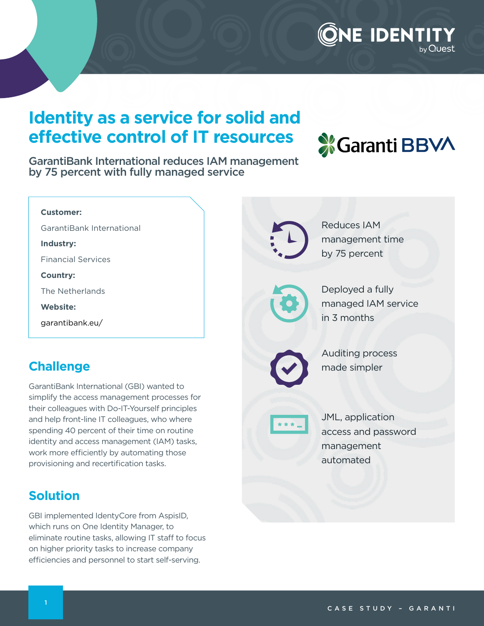### ONE IDENTIT by Quest

## **Identity as a service for solid and effective control of IT resources**

**X** Garanti BBVA

GarantiBank International reduces IAM management by 75 percent with fully managed service

| <b>Customer:</b>                                                                                |                                  |
|-------------------------------------------------------------------------------------------------|----------------------------------|
| GarantiBank International                                                                       | <b>Reduces IAM</b>               |
| Industry:                                                                                       | management time                  |
| <b>Financial Services</b>                                                                       | by 75 percent                    |
| <b>Country:</b>                                                                                 |                                  |
| The Netherlands                                                                                 | Deployed a fully                 |
| <b>Website:</b>                                                                                 | managed IAM service              |
| garantibank.eu/                                                                                 | in 3 months                      |
| <b>Challenge</b>                                                                                | Auditing process<br>made simpler |
|                                                                                                 |                                  |
| GarantiBank International (GBI) wanted to                                                       |                                  |
| simplify the access management processes for<br>their colleagues with Do-IT-Yourself principles |                                  |
| and help front-line IT colleagues, who where                                                    | JML, application                 |
| spending 40 percent of their time on routine<br>identity and access management (IAM) tasks,     | access and password              |
| work more efficiently by automating those                                                       | management                       |
| provisioning and recertification tasks.                                                         | automated                        |
|                                                                                                 |                                  |
| <b>Solution</b>                                                                                 |                                  |
| GBI implemented IdentyCore from AspisID,                                                        |                                  |
|                                                                                                 |                                  |

which runs on One Identity Manager, to eliminate routine tasks, allowing IT staff to focus on higher priority tasks to increase company efficiencies and personnel to start self-serving.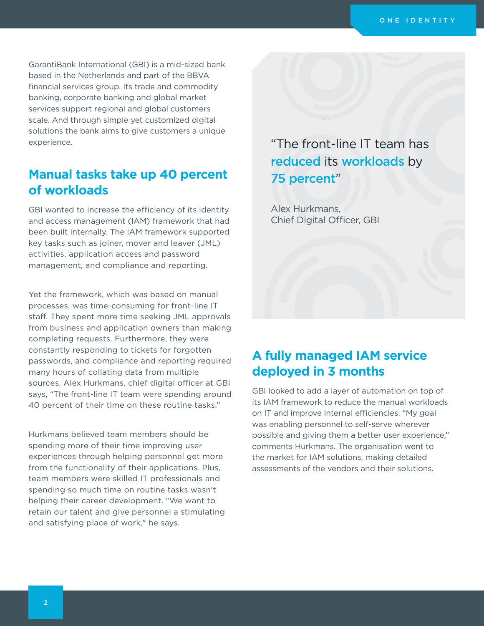GarantiBank International (GBI) is a mid-sized bank based in the Netherlands and part of the BBVA financial services group. Its trade and commodity banking, corporate banking and global market services support regional and global customers scale. And through simple yet customized digital solutions the bank aims to give customers a unique experience.

#### **Manual tasks take up 40 percent of workloads**

GBI wanted to increase the efficiency of its identity and access management (IAM) framework that had been built internally. The IAM framework supported key tasks such as joiner, mover and leaver (JML) activities, application access and password management, and compliance and reporting.

Yet the framework, which was based on manual processes, was time-consuming for front-line IT staff. They spent more time seeking JML approvals from business and application owners than making completing requests. Furthermore, they were constantly responding to tickets for forgotten passwords, and compliance and reporting required many hours of collating data from multiple sources. Alex Hurkmans, chief digital officer at GBI says, "The front-line IT team were spending around 40 percent of their time on these routine tasks."

Hurkmans believed team members should be spending more of their time improving user experiences through helping personnel get more from the functionality of their applications. Plus, team members were skilled IT professionals and spending so much time on routine tasks wasn't helping their career development. "We want to retain our talent and give personnel a stimulating and satisfying place of work," he says.

"The front-line IT team has reduced its workloads by 75 percent"

Alex Hurkmans, Chief Digital Officer, GBI

#### **A fully managed IAM service deployed in 3 months**

GBI looked to add a layer of automation on top of its IAM framework to reduce the manual workloads on IT and improve internal efficiencies. "My goal was enabling personnel to self-serve wherever possible and giving them a better user experience," comments Hurkmans. The organisation went to the market for IAM solutions, making detailed assessments of the vendors and their solutions.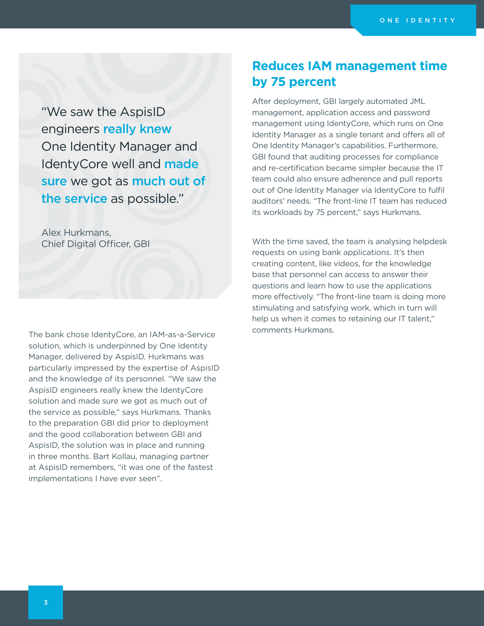"We saw the AspisID engineers really knew One Identity Manager and IdentyCore well and made sure we got as much out of the service as possible."

Alex Hurkmans, Chief Digital Officer, GBI

The bank chose IdentyCore, an IAM-as-a-Service solution, which is underpinned by One Identity Manager, delivered by AspisID. Hurkmans was particularly impressed by the expertise of AspisID and the knowledge of its personnel. "We saw the AspisID engineers really knew the IdentyCore solution and made sure we got as much out of the service as possible," says Hurkmans. Thanks to the preparation GBI did prior to deployment and the good collaboration between GBI and AspisID, the solution was in place and running in three months. Bart Kollau, managing partner at AspisID remembers, "it was one of the fastest implementations I have ever seen".

#### **Reduces IAM management time by 75 percent**

After deployment, GBI largely automated JML management, application access and password management using IdentyCore, which runs on One Identity Manager as a single tenant and offers all of One Identity Manager's capabilities. Furthermore, GBI found that auditing processes for compliance and re-certification became simpler because the IT team could also ensure adherence and pull reports out of One Identity Manager via IdentyCore to fulfil auditors' needs. "The front-line IT team has reduced its workloads by 75 percent," says Hurkmans.

With the time saved, the team is analysing helpdesk requests on using bank applications. It's then creating content, like videos, for the knowledge base that personnel can access to answer their questions and learn how to use the applications more effectively. "The front-line team is doing more stimulating and satisfying work, which in turn will help us when it comes to retaining our IT talent," comments Hurkmans.